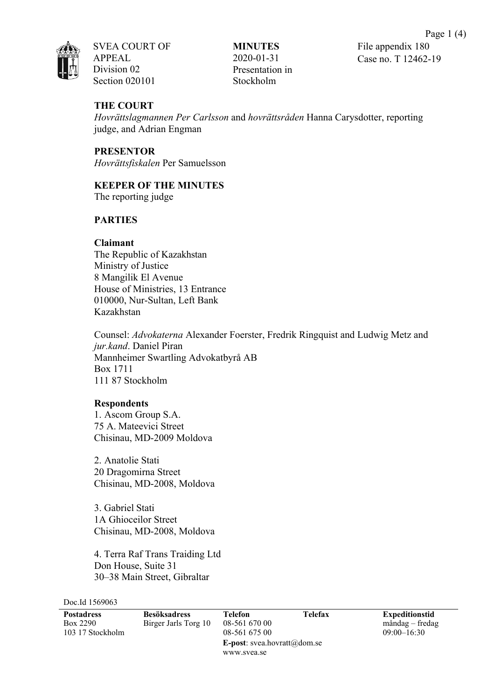SVEA COURT OF APPEAL Division 02 Section 020101

**MINUTES** 2020-01-31 Presentation in Stockholm

# **THE COURT**

*Hovrättslagmannen Per Carlsson* and *hovrättsråden* Hanna Carysdotter, reporting judge, and Adrian Engman

**PRESENTOR** *Hovrättsfiskalen* Per Samuelsson

## **KEEPER OF THE MINUTES**

The reporting judge

# **PARTIES**

## **Claimant**

The Republic of Kazakhstan Ministry of Justice 8 Mangilik El Avenue House of Ministries, 13 Entrance 010000, Nur-Sultan, Left Bank Kazakhstan

Counsel: *Advokaterna* Alexander Foerster, Fredrik Ringquist and Ludwig Metz and *jur.kand*. Daniel Piran Mannheimer Swartling Advokatbyrå AB Box 1711 111 87 Stockholm

### **Respondents**

1. Ascom Group S.A. 75 A. Mateevici Street Chisinau, MD-2009 Moldova

2. Anatolie Stati 20 Dragomirna Street Chisinau, MD-2008, Moldova

3. Gabriel Stati 1A Ghioceilor Street Chisinau, MD-2008, Moldova

4. Terra Raf Trans Traiding Ltd Don House, Suite 31 30–38 Main Street, Gibraltar

Doc.Id 1569063

| <b>Postadress</b><br>Box 2290 | <b>Besöksadress</b><br>Birger Jarls Torg 10 | Telefon<br>08-561 670 00            | Telefax | <b>Expeditionstid</b><br>måndag – fredag |
|-------------------------------|---------------------------------------------|-------------------------------------|---------|------------------------------------------|
| 103 17 Stockholm              |                                             | 08-561 675 00                       |         | $09:00 - 16:30$                          |
|                               |                                             | <b>E-post</b> : svea.hovratt@dom.se |         |                                          |
|                               |                                             | www.svea.se                         |         |                                          |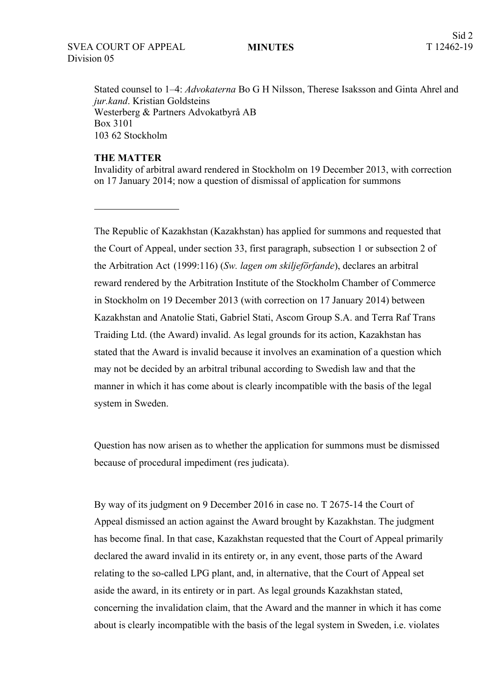#### **MINUTES**

Stated counsel to 1–4: *Advokaterna* Bo G H Nilsson, Therese Isaksson and Ginta Ahrel and *jur.kand*. Kristian Goldsteins Westerberg & Partners Advokatbyrå AB Box 3101 103 62 Stockholm

## **THE MATTER**

Invalidity of arbitral award rendered in Stockholm on 19 December 2013, with correction on 17 January 2014; now a question of dismissal of application for summons

The Republic of Kazakhstan (Kazakhstan) has applied for summons and requested that the Court of Appeal, under section 33, first paragraph, subsection 1 or subsection 2 of the Arbitration Act (1999:116) (*Sw. lagen om skiljeförfande*), declares an arbitral reward rendered by the Arbitration Institute of the Stockholm Chamber of Commerce in Stockholm on 19 December 2013 (with correction on 17 January 2014) between Kazakhstan and Anatolie Stati, Gabriel Stati, Ascom Group S.A. and Terra Raf Trans Traiding Ltd. (the Award) invalid. As legal grounds for its action, Kazakhstan has stated that the Award is invalid because it involves an examination of a question which may not be decided by an arbitral tribunal according to Swedish law and that the manner in which it has come about is clearly incompatible with the basis of the legal system in Sweden.

Question has now arisen as to whether the application for summons must be dismissed because of procedural impediment (res judicata).

By way of its judgment on 9 December 2016 in case no. T 2675-14 the Court of Appeal dismissed an action against the Award brought by Kazakhstan. The judgment has become final. In that case, Kazakhstan requested that the Court of Appeal primarily declared the award invalid in its entirety or, in any event, those parts of the Award relating to the so-called LPG plant, and, in alternative, that the Court of Appeal set aside the award, in its entirety or in part. As legal grounds Kazakhstan stated, concerning the invalidation claim, that the Award and the manner in which it has come about is clearly incompatible with the basis of the legal system in Sweden, i.e. violates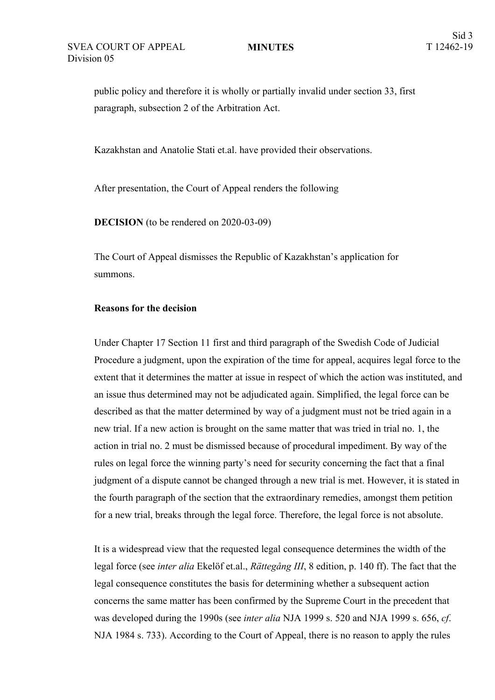**MINUTES**

public policy and therefore it is wholly or partially invalid under section 33, first paragraph, subsection 2 of the Arbitration Act.

Kazakhstan and Anatolie Stati et.al. have provided their observations.

After presentation, the Court of Appeal renders the following

**DECISION** (to be rendered on 2020-03-09)

The Court of Appeal dismisses the Republic of Kazakhstan's application for summons.

## **Reasons for the decision**

Under Chapter 17 Section 11 first and third paragraph of the Swedish Code of Judicial Procedure a judgment, upon the expiration of the time for appeal, acquires legal force to the extent that it determines the matter at issue in respect of which the action was instituted, and an issue thus determined may not be adjudicated again. Simplified, the legal force can be described as that the matter determined by way of a judgment must not be tried again in a new trial. If a new action is brought on the same matter that was tried in trial no. 1, the action in trial no. 2 must be dismissed because of procedural impediment. By way of the rules on legal force the winning party's need for security concerning the fact that a final judgment of a dispute cannot be changed through a new trial is met. However, it is stated in the fourth paragraph of the section that the extraordinary remedies, amongst them petition for a new trial, breaks through the legal force. Therefore, the legal force is not absolute.

It is a widespread view that the requested legal consequence determines the width of the legal force (see *inter alia* Ekelöf et.al., *Rättegång III*, 8 edition, p. 140 ff). The fact that the legal consequence constitutes the basis for determining whether a subsequent action concerns the same matter has been confirmed by the Supreme Court in the precedent that was developed during the 1990s (see *inter alia* NJA 1999 s. 520 and NJA 1999 s. 656, *cf*. NJA 1984 s. 733). According to the Court of Appeal, there is no reason to apply the rules